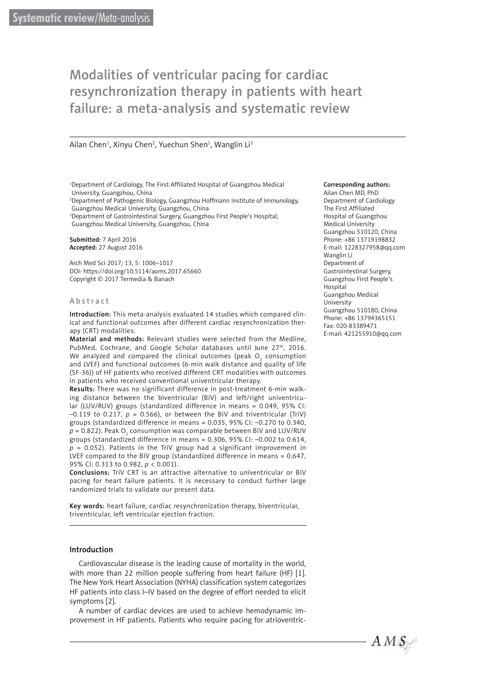# Modalities of ventricular pacing for cardiac resynchronization therapy in patients with heart failure: a meta-analysis and systematic review

Ailan Chen<sup>1</sup>, Xinyu Chen<sup>2</sup>, Yuechun Shen<sup>1</sup>, Wanglin Li<sup>3</sup>

1 Department of Cardiology, The First Affiliated Hospital of Guangzhou Medical University, Guangzhou, China

2 Department of Pathogenic Biology, Guangzhou Hoffmann Institute of Immunology, Guangzhou Medical University, Guangzhou, China

3 Department of Gastrointestinal Surgery, Guangzhou First People's Hospital, Guangzhou Medical University, Guangzhou, China

Submitted: 7 April 2016 Accepted: 27 August 2016

Arch Med Sci 2017; 13, 5: 1006–1017 DOI: https://doi.org/10.5114/aoms.2017.65660 Copyright © 2017 Termedia & Banach

#### Abstract

Introduction: This meta-analysis evaluated 14 studies which compared clinical and functional outcomes after different cardiac resynchronization therapy (CRT) modalities.

Material and methods: Relevant studies were selected from the Medline, PubMed, Cochrane, and Google Scholar databases until June 27<sup>th</sup>, 2016. We analyzed and compared the clinical outcomes (peak  ${\mathsf O}_2$  consumption and LVEF) and functional outcomes (6-min walk distance and quality of life (SF-36)) of HF patients who received different CRT modalities with outcomes in patients who received conventional univentricular therapy.

Results: There was no significant difference in post-treatment 6-min walking distance between the biventricular (BiV) and left/right univentricular (LUV/RUV) groups (standardized difference in means = 0.049, 95% CI:  $-0.119$  to 0.217,  $p = 0.566$ ), or between the BiV and triventricular (TriV) groups (standardized difference in means = 0.035, 95% CI: –0.270 to 0.340,  $p$  = 0.822). Peak O<sub>2</sub> consumption was comparable between BiV and LUV/RUV groups (standardized difference in means = 0.306, 95% CI: –0.002 to 0.614,  $p = 0.052$ ). Patients in the TriV group had a significant improvement in LVEF compared to the BiV group (standardized difference in means = 0.647, 95% CI: 0.313 to 0.982, *p* < 0.001).

Conclusions: TriV CRT is an attractive alternative to univentricular or BiV pacing for heart failure patients. It is necessary to conduct further large randomized trials to validate our present data.

Key words: heart failure, cardiac resynchronization therapy, biventricular, triventricular, left ventricular ejection fraction.

## Introduction

Cardiovascular disease is the leading cause of mortality in the world, with more than 22 million people suffering from heart failure (HF) [1]. The New York Heart Association (NYHA) classification system categorizes HF patients into class I–IV based on the degree of effort needed to elicit symptoms [2].

A number of cardiac devices are used to achieve hemodynamic improvement in HF patients. Patients who require pacing for atrioventric-

#### Corresponding authors:

Ailan Chen MD, PhD Department of Cardiology The First Affiliated Hospital of Guangzhou Medical University Guangzhou 510120, China Phone: +86 13719198832 E-mail: [1228327958@qq.com](mailto:1228327958@qq.com) Wanglin Li Department of Gastrointestinal Surgery, Guangzhou First People's Hospital Guangzhou Medical University Guangzhou 510180, China Phone: +86 13794365151 Fax: 020-83389471 E-mail: [421255910@qq.com](mailto:421255910@qq.com)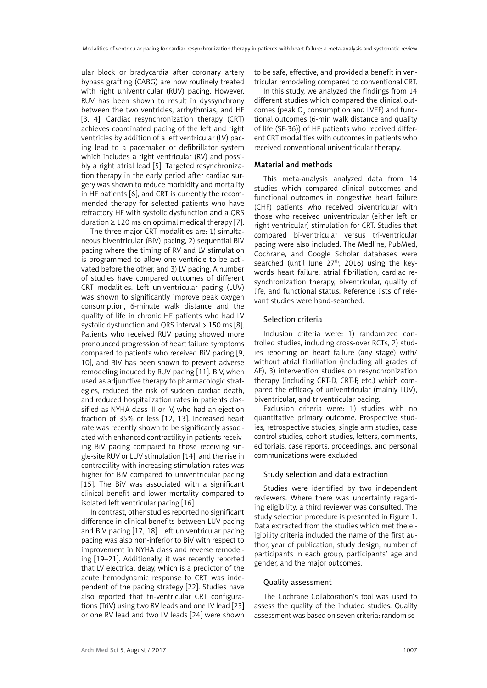ular block or bradycardia after coronary artery bypass grafting (CABG) are now routinely treated with right univentricular (RUV) pacing. However, RUV has been shown to result in dyssynchrony between the two ventricles, arrhythmias, and HF [3, 4]. Cardiac resynchronization therapy (CRT) achieves coordinated pacing of the left and right ventricles by addition of a left ventricular (LV) pacing lead to a pacemaker or defibrillator system which includes a right ventricular (RV) and possibly a right atrial lead [5]. Targeted resynchronization therapy in the early period after cardiac surgery was shown to reduce morbidity and mortality in HF patients [6], and CRT is currently the recommended therapy for selected patients who have refractory HF with systolic dysfunction and a QRS duration  $\geq 120$  ms on optimal medical therapy [7].

The three major CRT modalities are: 1) simultaneous biventricular (BiV) pacing, 2) sequential BiV pacing where the timing of RV and LV stimulation is programmed to allow one ventricle to be activated before the other, and 3) LV pacing. A number of studies have compared outcomes of different CRT modalities. Left univentricular pacing (LUV) was shown to significantly improve peak oxygen consumption, 6-minute walk distance and the quality of life in chronic HF patients who had LV systolic dysfunction and QRS interval > 150 ms [8]. Patients who received RUV pacing showed more pronounced progression of heart failure symptoms compared to patients who received BiV pacing [9, 10], and BiV has been shown to prevent adverse remodeling induced by RUV pacing [11]. BiV, when used as adjunctive therapy to pharmacologic strategies, reduced the risk of sudden cardiac death, and reduced hospitalization rates in patients classified as NYHA class III or IV, who had an ejection fraction of 35% or less [12, 13]. Increased heart rate was recently shown to be significantly associated with enhanced contractility in patients receiving BiV pacing compared to those receiving single-site RUV or LUV stimulation [14], and the rise in contractility with increasing stimulation rates was higher for BiV compared to univentricular pacing [15]. The BiV was associated with a significant clinical benefit and lower mortality compared to isolated left ventricular pacing [16].

In contrast, other studies reported no significant difference in clinical benefits between LUV pacing and BiV pacing [17, 18]. Left univentricular pacing pacing was also non-inferior to BiV with respect to improvement in NYHA class and reverse remodeling [19–21]. Additionally, it was recently reported that LV electrical delay, which is a predictor of the acute hemodynamic response to CRT, was independent of the pacing strategy [22]. Studies have also reported that tri-ventricular CRT configurations (TriV) using two RV leads and one LV lead [23] or one RV lead and two LV leads [24] were shown to be safe, effective, and provided a benefit in ventricular remodeling compared to conventional CRT.

In this study, we analyzed the findings from 14 different studies which compared the clinical outcomes (peak  $O_2$  consumption and LVEF) and functional outcomes (6-min walk distance and quality of life (SF-36)) of HF patients who received different CRT modalities with outcomes in patients who received conventional univentricular therapy.

# Material and methods

This meta-analysis analyzed data from 14 studies which compared clinical outcomes and functional outcomes in congestive heart failure (CHF) patients who received biventricular with those who received univentricular (either left or right ventricular) stimulation for CRT. Studies that compared bi-ventricular versus tri-ventricular pacing were also included. The Medline, PubMed, Cochrane, and Google Scholar databases were searched (until June  $27<sup>th</sup>$ , 2016) using the keywords heart failure, atrial fibrillation, cardiac resynchronization therapy, biventricular, quality of life, and functional status. Reference lists of relevant studies were hand-searched.

# Selection criteria

Inclusion criteria were: 1) randomized controlled studies, including cross-over RCTs, 2) studies reporting on heart failure (any stage) with/ without atrial fibrillation (including all grades of AF), 3) intervention studies on resynchronization therapy (including CRT-D, CRT-P, etc.) which compared the efficacy of univentricular (mainly LUV), biventricular, and triventricular pacing.

Exclusion criteria were: 1) studies with no quantitative primary outcome. Prospective studies, retrospective studies, single arm studies, case control studies, cohort studies, letters, comments, editorials, case reports, proceedings, and personal communications were excluded.

# Study selection and data extraction

Studies were identified by two independent reviewers. Where there was uncertainty regarding eligibility, a third reviewer was consulted. The study selection procedure is presented in Figure 1. Data extracted from the studies which met the eligibility criteria included the name of the first author, year of publication, study design, number of participants in each group, participants' age and gender, and the major outcomes.

## Quality assessment

The Cochrane Collaboration's tool was used to assess the quality of the included studies. Quality assessment was based on seven criteria: random se-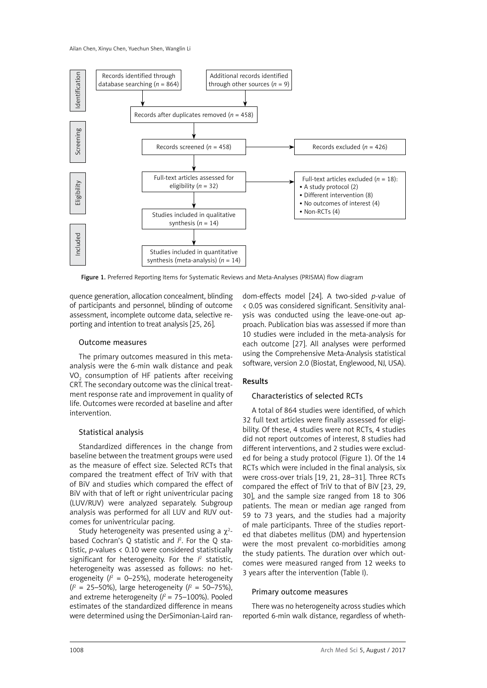

Figure 1. Preferred Reporting Items for Systematic Reviews and Meta-Analyses (PRISMA) flow diagram

quence generation, allocation concealment, blinding of participants and personnel, blinding of outcome assessment, incomplete outcome data, selective reporting and intention to treat analysis [25, 26].

## Outcome measures

The primary outcomes measured in this metaanalysis were the 6-min walk distance and peak VO<sub>2</sub> consumption of HF patients after receiving CRT. The secondary outcome was the clinical treatment response rate and improvement in quality of life. Outcomes were recorded at baseline and after intervention.

## Statistical analysis

Standardized differences in the change from baseline between the treatment groups were used as the measure of effect size. Selected RCTs that compared the treatment effect of TriV with that of BiV and studies which compared the effect of BiV with that of left or right univentricular pacing (LUV/RUV) were analyzed separately. Subgroup analysis was performed for all LUV and RUV outcomes for univentricular pacing.

Study heterogeneity was presented using a  $\chi^2$ based Cochran's Q statistic and *I* 2 . For the Q statistic, *p*-values < 0.10 were considered statistically significant for heterogeneity. For the  $l^2$  statistic, heterogeneity was assessed as follows: no heterogeneity ( $l^2$  = 0–25%), moderate heterogeneity  $(l^2 = 25 - 50\%)$ , large heterogeneity  $(l^2 = 50 - 75\%)$ , and extreme heterogeneity  $(l^2 = 75-100\%)$ . Pooled estimates of the standardized difference in means were determined using the DerSimonian-Laird random-effects model [24]. A two-sided *p*-value of < 0.05 was considered significant. Sensitivity analysis was conducted using the leave-one-out approach. Publication bias was assessed if more than 10 studies were included in the meta-analysis for each outcome [27]. All analyses were performed using the Comprehensive Meta-Analysis statistical software, version 2.0 (Biostat, Englewood, NJ, USA).

# Results

## Characteristics of selected RCTs

A total of 864 studies were identified, of which 32 full text articles were finally assessed for eligibility. Of these, 4 studies were not RCTs, 4 studies did not report outcomes of interest, 8 studies had different interventions, and 2 studies were excluded for being a study protocol (Figure 1). Of the 14 RCTs which were included in the final analysis, six were cross-over trials [19, 21, 28–31]. Three RCTs compared the effect of TriV to that of BiV [23, 29, 30], and the sample size ranged from 18 to 306 patients. The mean or median age ranged from 59 to 73 years, and the studies had a majority of male participants. Three of the studies reported that diabetes mellitus (DM) and hypertension were the most prevalent co-morbidities among the study patients. The duration over which outcomes were measured ranged from 12 weeks to 3 years after the intervention (Table I).

# Primary outcome measures

There was no heterogeneity across studies which reported 6-min walk distance, regardless of wheth-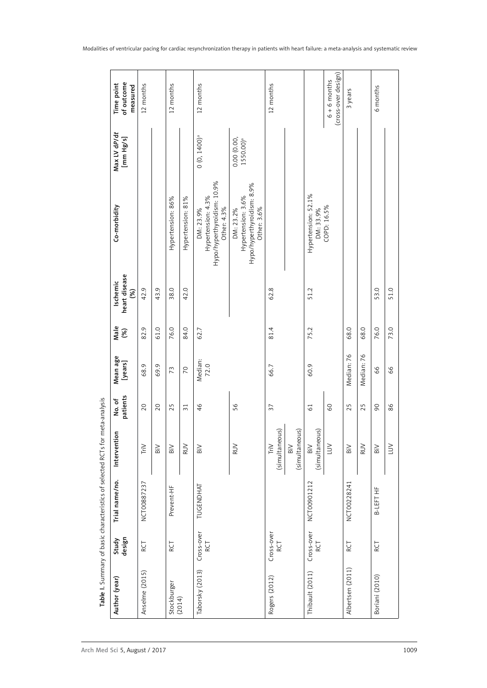| of outcome<br>Time point<br>measured       | 12 months                           |                | 12 months         |                   | 12 months                                                                     |                                                                              | 12 months                                |                                  |                                  | (cross-over design)<br>$6 + 6$ months | 3 years          |            | 6 months       |            |
|--------------------------------------------|-------------------------------------|----------------|-------------------|-------------------|-------------------------------------------------------------------------------|------------------------------------------------------------------------------|------------------------------------------|----------------------------------|----------------------------------|---------------------------------------|------------------|------------|----------------|------------|
| Max LV dP/dt<br>[mm Hg/s]                  |                                     |                |                   |                   | $0(0, 1400)$ <sup>a</sup>                                                     | $0.00(0.00, 1550.00)^a$                                                      |                                          |                                  |                                  |                                       |                  |            |                |            |
| Co-morbidity                               |                                     |                | Hypertension: 86% | Hypertension: 81% | Hypo/hyperthyroidism: 10.9%<br>Hypertension: 4.3%<br>Other: 4.3%<br>DM: 23.9% | Hypo/hyperthyroidism: 8.9%<br>Hypertension: 3.6%<br>Other: 3.6%<br>DM: 23.2% |                                          |                                  | Hypertension: 52.1%<br>DM: 33.9% | COPD: 16.5%                           |                  |            |                |            |
| heart disease<br>Ischemic<br>$\mathcal{E}$ | 42.9                                | 43.9           | 38.0              | 42.0              |                                                                               |                                                                              | 62.8                                     |                                  | 51.2                             |                                       |                  |            | 53.0           | 51.0       |
| Male<br>(%)                                | 82.9                                | 61.0           | 76.0              | 84.0              | 62.7                                                                          |                                                                              | 81.4                                     |                                  | 75.2                             |                                       | 68.0             | 68.0       | 76.0           | 73.0       |
| Mean age<br>[years]                        | 68.9                                | 69.9           | 73                | $\overline{C}$    | Median:<br>72.0                                                               |                                                                              | 66.7                                     |                                  | 60.9                             |                                       | Median: 76       | Median: 76 | 99             | 66         |
| patients<br>No. of                         | 20                                  | 20             | 25                | $\overline{31}$   | 46                                                                            | 56                                                                           | 37                                       |                                  | $\overline{61}$                  | 60                                    | 25               | 25         | 90             | 86         |
| Intervention                               | $\mathsf{Tr} \mathsf{I} \mathsf{V}$ | $\overline{B}$ | BiV               | <b>RUV</b>        | $\overline{B}$                                                                | <b>RUV</b>                                                                   | (simultaneous)<br>$\text{Tr} \mathsf{W}$ | (simultaneous)<br>$\overline{B}$ | (simultaneous)<br>$\overline{B}$ | $\overline{\sqcup\!\!\sqcup}$         | $\overline{B}$   | <b>RUV</b> | $\overline{B}$ | <b>NTT</b> |
| Trial name/no.                             | NCT00887237                         |                | Prevent-HF        |                   | TUGENDHAT                                                                     |                                                                              |                                          |                                  | NCT00901212                      |                                       | NCT00228241      |            | B-LEFT HF      |            |
| Study<br>design                            | RCT                                 |                | RCT               |                   | Cross-over<br>RCT                                                             |                                                                              | Cross-over<br>RCT                        |                                  | Cross-over<br>RCT                |                                       | RCT              |            | RCT            |            |
| Author (year)                              | Anselme (2015)                      |                | Stockburger       | (2014)            | Taborsky (2013)                                                               |                                                                              | Rogers (2012)                            |                                  | Thibault (2011)                  |                                       | Albertsen (2011) |            | Boriani (2010) |            |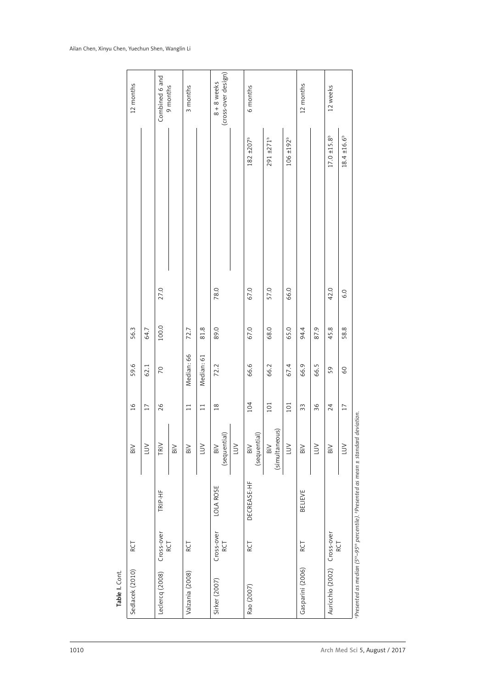| Sedlacek (2010)             | RCT               |                  | $\overline{B}$                          | 16              | 59.6           | 56.3  |      |                         | 12 months                            |
|-----------------------------|-------------------|------------------|-----------------------------------------|-----------------|----------------|-------|------|-------------------------|--------------------------------------|
|                             |                   |                  |                                         |                 |                |       |      |                         |                                      |
|                             |                   |                  | $\geq$                                  | $\overline{17}$ | 62.1           | 64.7  |      |                         |                                      |
| Leclercq (2008)             | Cross-over        | TRIP-HF          | TRIV                                    | 26              | $\overline{C}$ | 100.0 | 27.0 |                         | Combined 6 and                       |
|                             | RCT               |                  | $_{\rm BiV}$                            |                 |                |       |      |                         | 9 months                             |
| Valzania (2008)             | RCT               |                  | BiV                                     | 11              | Median: 66     | 72.7  |      |                         | 3 months                             |
|                             |                   |                  | $\overline{\sqcup\!\!\sqcup}$           | $\Xi$           | Median: 61     | 81.8  |      |                         |                                      |
| Sirker (2007)               | Cross-over<br>RCT | <b>LOLA ROSE</b> | (sequential)<br>$_{\rm Bi}$             | $\frac{8}{18}$  | 72.2           | 89.0  | 78.0 |                         | (cross-over design)<br>$8 + 8$ weeks |
|                             |                   |                  | LUV                                     |                 |                |       |      |                         |                                      |
| Rao (2007)                  | RCT               | DECREASE-HF      | (sequential)<br>$\overline{\mathsf{B}}$ | 104             | 66.6           | 67.0  | 67.0 | $182 \pm 207^b$         | 6 months                             |
|                             |                   |                  | BiV<br>(simultaneous)                   | 101             | 66.2           | 68.0  | 57.0 | $291 + 271^b$           |                                      |
|                             |                   |                  | LUV                                     | $101$           | 67.4           | 65.0  | 66.0 | $106 \pm 192^{\rm b}$   |                                      |
| Gasparini (2006)            | RCT               | BELIEVE          | $\overline{\mathsf{B}}$                 | 33              | 66.9           | 94.4  |      |                         | 12 months                            |
|                             |                   |                  | $\geq$                                  | 36              | 66.5           | 87.9  |      |                         |                                      |
| Auricchio (2002) Cross-over |                   |                  | $\overline{\mathsf{B}}$                 | 24              | 59             | 45.8  | 42.0 | $17.0 \pm 15.8^{\circ}$ | 12 weeks                             |
|                             | RCT               |                  | $\overline{\sqcup\!\!\sqcup}$           | $17$            | 60             | 58.8  | 6.0  | $18.4 \pm 16.6^{\circ}$ |                                      |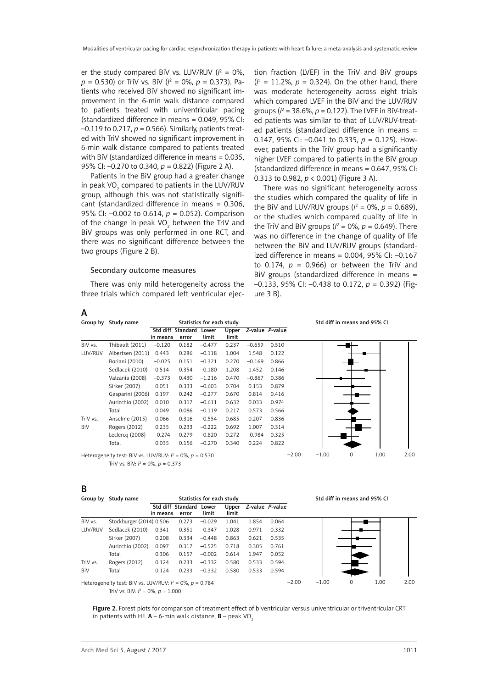er the study compared BiV vs. LUV/RUV  $(l^2 = 0\%,$ *p* = 0.530) or TriV vs. BiV (*I* 2 = 0%, *p* = 0.373). Patients who received BiV showed no significant improvement in the 6-min walk distance compared to patients treated with univentricular pacing (standardized difference in means = 0.049, 95% CI:  $-0.119$  to 0.217,  $p = 0.566$ ). Similarly, patients treated with TriV showed no significant improvement in 6-min walk distance compared to patients treated with BiV (standardized difference in means = 0.035, 95% CI: –0.270 to 0.340, *p* = 0.822) (Figure 2 A).

Patients in the BiV group had a greater change in peak VO $_2$  compared to patients in the LUV/RUV group, although this was not statistically significant (standardized difference in means = 0.306, 95% CI: –0.002 to 0.614, *p* = 0.052). Comparison of the change in peak VO<sub>2</sub> between the TriV and BiV groups was only performed in one RCT, and there was no significant difference between the two groups (Figure 2 B).

#### Secondary outcome measures

There was only mild heterogeneity across the three trials which compared left ventricular ejection fraction (LVEF) in the TriV and BiV groups  $(l^2 = 11.2\%$ ,  $p = 0.324$ ). On the other hand, there was moderate heterogeneity across eight trials which compared LVEF in the BiV and the LUV/RUV groups ( $l^2 = 38.6\%, p = 0.122$ ). The LVEF in BiV-treated patients was similar to that of LUV/RUV-treated patients (standardized difference in means = 0.147, 95% CI: –0.041 to 0.335, *p* = 0.125). However, patients in the TriV group had a significantly higher LVEF compared to patients in the BiV group (standardized difference in means = 0.647, 95% CI: 0.313 to 0.982, *p* < 0.001) (Figure 3 A).

There was no significant heterogeneity across the studies which compared the quality of life in the BiV and LUV/RUV groups ( $l^2 = 0\%$ ,  $p = 0.689$ ), or the studies which compared quality of life in the TriV and BiV groups ( $l^2$  = 0%,  $p$  = 0.649). There was no difference in the change of quality of life between the BiV and LUV/RUV groups (standardized difference in means =  $0.004$ ,  $95\%$  CI:  $-0.167$ to 0.174,  $p = 0.966$ ) or between the TriV and BiV groups (standardized difference in means = –0.133, 95% CI: –0.438 to 0.172, *p* = 0.392) (Figure 3 B).

| Group by | Study name                                                     |          |                            | Statistics for each study |                |                 |       |         |         | Std diff in means and 95% CI |      |      |
|----------|----------------------------------------------------------------|----------|----------------------------|---------------------------|----------------|-----------------|-------|---------|---------|------------------------------|------|------|
|          |                                                                | in means | Std diff Standard<br>error | Lower<br>limit            | Upper<br>limit | Z-value P-value |       |         |         |                              |      |      |
| BiV vs.  | Thibault (2011)                                                | $-0.120$ | 0.182                      | $-0.477$                  | 0.237          | $-0.659$        | 0.510 |         |         |                              |      |      |
| LUV/RUV  | Albertsen (2011)                                               | 0.443    | 0.286                      | $-0.118$                  | 1.004          | 1.548           | 0.122 |         |         |                              |      |      |
|          | Boriani (2010)                                                 | $-0.025$ | 0.151                      | $-0.321$                  | 0.270          | $-0.169$        | 0.866 |         |         |                              |      |      |
|          | Sedlacek (2010)                                                | 0.514    | 0.354                      | $-0.180$                  | 1.208          | 1.452           | 0.146 |         |         |                              |      |      |
|          | Valzania (2008)                                                | $-0.373$ | 0.430                      | $-1.216$                  | 0.470          | $-0.867$        | 0.386 |         |         |                              |      |      |
|          | Sirker (2007)                                                  | 0.051    | 0.333                      | $-0.603$                  | 0.704          | 0.153           | 0.879 |         |         |                              |      |      |
|          | Gasparini (2006)                                               | 0.197    | 0.242                      | $-0.277$                  | 0.670          | 0.814           | 0.416 |         |         |                              |      |      |
|          | Auricchio (2002)                                               | 0.010    | 0.317                      | $-0.611$                  | 0.632          | 0.033           | 0.974 |         |         |                              |      |      |
|          | Total                                                          | 0.049    | 0.086                      | $-0.119$                  | 0.217          | 0.573           | 0.566 |         |         |                              |      |      |
| TriV vs. | Anselme (2015)                                                 | 0.066    | 0.316                      | $-0.554$                  | 0.685          | 0.207           | 0.836 |         |         |                              |      |      |
| BiV      | Rogers (2012)                                                  | 0.235    | 0.233                      | $-0.222$                  | 0.692          | 1.007           | 0.314 |         |         |                              |      |      |
|          | Leclercq (2008)                                                | $-0.274$ | 0.279                      | $-0.820$                  | 0.272          | $-0.984$        | 0.325 |         |         |                              |      |      |
|          | Total                                                          | 0.035    | 0.156                      | $-0.270$                  | 0.340          | 0.224           | 0.822 |         |         |                              |      |      |
|          | Heterogeneity test: BiV vs. LUV/RUV: $l^2 = 0\%$ , $p = 0.530$ |          |                            |                           |                |                 |       | $-2.00$ | $-1.00$ | $\circ$                      | 1.00 | 2.00 |

TriV vs. BiV:  $l^2 = 0\%$ ,  $p = 0.373$ 

| ÷ |    |         |  |
|---|----|---------|--|
| ٠ |    | ٦       |  |
| ۰ |    |         |  |
|   |    |         |  |
|   | ۰, | I<br>۰. |  |

A

|            | Group by Study name                                            |          |                   | Statistics for each study |       |       |                 | Std diff in means and 95% CI |         |             |      |      |
|------------|----------------------------------------------------------------|----------|-------------------|---------------------------|-------|-------|-----------------|------------------------------|---------|-------------|------|------|
|            |                                                                |          | Std diff Standard | Lower                     | Upper |       | Z-value P-value |                              |         |             |      |      |
|            |                                                                | in means | error             | limit                     | limit |       |                 |                              |         |             |      |      |
| BiV vs.    | Stockburger (2014) 0.506                                       |          | 0.273             | $-0.029$                  | 1.041 | 1.854 | 0.064           |                              |         |             |      |      |
| LUV/RUV    | Sedlacek (2010)                                                | 0.341    | 0.351             | $-0.347$                  | 1.028 | 0.971 | 0.332           |                              |         |             |      |      |
|            | Sirker (2007)                                                  | 0.208    | 0.334             | $-0.448$                  | 0.863 | 0.621 | 0.535           |                              |         |             |      |      |
|            | Auricchio (2002)                                               | 0.097    | 0.317             | $-0.525$                  | 0.718 | 0.305 | 0.761           |                              |         |             |      |      |
|            | Total                                                          | 0.306    | 0.157             | $-0.002$                  | 0.614 | 1.947 | 0.052           |                              |         |             |      |      |
| TriV vs.   | Rogers (2012)                                                  | 0.124    | 0.233             | $-0.332$                  | 0.580 | 0.533 | 0.594           |                              |         |             |      |      |
| <b>BiV</b> | Total                                                          | 0.124    | 0.233             | $-0.332$                  | 0.580 | 0.533 | 0.594           |                              |         |             |      |      |
|            | Heterogeneity test: BiV vs. LUV/RUV: $l^2 = 0\%$ , $p = 0.784$ |          |                   |                           |       |       |                 | $-2.00$                      | $-1.00$ | $\mathbf 0$ | 1.00 | 2.00 |
|            | TriV vs. BiV: $l^2 = 0\%$ , $p = 1.000$                        |          |                   |                           |       |       |                 |                              |         |             |      |      |

Figure 2. Forest plots for comparison of treatment effect of biventricular versus univentricular or triventricular CRT in patients with HF.  $A - 6$ -min walk distance,  $B -$  peak VO<sub>2</sub>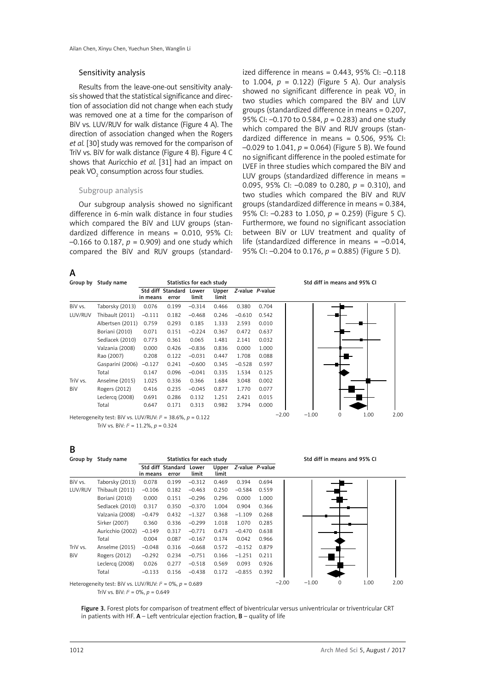#### Sensitivity analysis

Results from the leave-one-out sensitivity analysis showed that the statistical significance and direction of association did not change when each study was removed one at a time for the comparison of BiV vs. LUV/RUV for walk distance (Figure 4 A). The direction of association changed when the Rogers *et al.* [30] study was removed for the comparison of TriV vs. BiV for walk distance (Figure 4 B). Figure 4 C shows that Auricchio *et al.* [31] had an impact on peak VO $_2$  consumption across four studies.

#### Subgroup analysis

Our subgroup analysis showed no significant difference in 6-min walk distance in four studies which compared the BiV and LUV groups (standardized difference in means = 0.010, 95% CI:  $-0.166$  to 0.187,  $p = 0.909$ ) and one study which compared the BiV and RUV groups (standardized difference in means =  $0.443$ ,  $95\%$  CI:  $-0.118$ to 1.004,  $p = 0.122$ ) (Figure 5 A). Our analysis showed no significant difference in peak VO<sub>2</sub> in two studies which compared the BiV and LUV groups (standardized difference in means = 0.207, 95% CI: –0.170 to 0.584, *p* = 0.283) and one study which compared the BiV and RUV groups (standardized difference in means = 0.506, 95% CI:  $-0.029$  to 1.041,  $p = 0.064$ ) (Figure 5 B). We found no significant difference in the pooled estimate for LVEF in three studies which compared the BiV and LUV groups (standardized difference in means = 0.095, 95% CI: –0.089 to 0.280, *p* = 0.310), and two studies which compared the BiV and RUV groups (standardized difference in means = 0.384, 95% CI: –0.283 to 1.050, *p* = 0.259) (Figure 5 C). Furthermore, we found no significant association between BiV or LUV treatment and quality of life (standardized difference in means  $= -0.014$ , 95% CI: –0.204 to 0.176, *p* = 0.885) (Figure 5 D).

A

|          | Group by Study name |                               |       | Statistics for each study |                |          |                 | Std diff in means and 95% CI              |
|----------|---------------------|-------------------------------|-------|---------------------------|----------------|----------|-----------------|-------------------------------------------|
|          |                     | Std diff Standard<br>in means | error | Lower<br>limit            | Upper<br>limit |          | Z-value P-value |                                           |
| BiV vs.  | Taborsky (2013)     | 0.076                         | 0.199 | $-0.314$                  | 0.466          | 0.380    | 0.704           |                                           |
| LUV/RUV  | Thibault (2011)     | $-0.111$                      | 0.182 | $-0.468$                  | 0.246          | $-0.610$ | 0.542           |                                           |
|          | Albertsen (2011)    | 0.759                         | 0.293 | 0.185                     | 1.333          | 2.593    | 0.010           |                                           |
|          | Boriani (2010)      | 0.071                         | 0.151 | $-0.224$                  | 0.367          | 0.472    | 0.637           |                                           |
|          | Sedlacek (2010)     | 0.773                         | 0.361 | 0.065                     | 1.481          | 2.141    | 0.032           |                                           |
|          | Valzania (2008)     | 0.000                         | 0.426 | $-0.836$                  | 0.836          | 0.000    | 1.000           |                                           |
|          | Rao (2007)          | 0.208                         | 0.122 | $-0.031$                  | 0.447          | 1.708    | 0.088           |                                           |
|          | Gasparini (2006)    | $-0.127$                      | 0.241 | $-0.600$                  | 0.345          | $-0.528$ | 0.597           |                                           |
|          | Total               | 0.147                         | 0.096 | $-0.041$                  | 0.335          | 1.534    | 0.125           |                                           |
| TriV vs. | Anselme (2015)      | 1.025                         | 0.336 | 0.366                     | 1.684          | 3.048    | 0.002           |                                           |
| BiV      | Rogers (2012)       | 0.416                         | 0.235 | $-0.045$                  | 0.877          | 1.770    | 0.077           |                                           |
|          | Leclercq (2008)     | 0.691                         | 0.286 | 0.132                     | 1.251          | 2.421    | 0.015           |                                           |
|          | Total               | 0.647                         | 0.171 | 0.313                     | 0.982          | 3.794    | 0.000           |                                           |
|          |                     |                               |       |                           |                |          |                 | 1. $00$<br>$-2.00$<br>$-1.00$<br>$\Omega$ |

Heterogeneity test: BiV vs. LUV/RUV: *I* 2 = 38.6%, *p* = 0.122 TriV vs. BiV: *I* 2 = 11.2%, *p* = 0.324



# B

|            | Group by Study name                                            |          |                            | Statistics for each study |                |                 |       |         |         |   | Std diff in means and 95% CI |      |
|------------|----------------------------------------------------------------|----------|----------------------------|---------------------------|----------------|-----------------|-------|---------|---------|---|------------------------------|------|
|            |                                                                | in means | Std diff Standard<br>error | Lower<br>limit            | Upper<br>limit | Z-value P-value |       |         |         |   |                              |      |
| BiV vs.    | Taborsky (2013)                                                | 0.078    | 0.199                      | $-0.312$                  | 0.469          | 0.394           | 0.694 |         |         |   |                              |      |
| LUV/RUV    | Thibault (2011)                                                | $-0.106$ | 0.182                      | $-0.463$                  | 0.250          | $-0.584$        | 0.559 |         |         |   |                              |      |
|            | Boriani (2010)                                                 | 0.000    | 0.151                      | $-0.296$                  | 0.296          | 0.000           | 1.000 |         |         |   |                              |      |
|            | Sedlacek (2010)                                                | 0.317    | 0.350                      | $-0.370$                  | 1.004          | 0.904           | 0.366 |         |         |   |                              |      |
|            | Valzania (2008)                                                | $-0.479$ | 0.432                      | $-1.327$                  | 0.368          | $-1.109$        | 0.268 |         |         |   |                              |      |
|            | Sirker (2007)                                                  | 0.360    | 0.336                      | $-0.299$                  | 1.018          | 1.070           | 0.285 |         |         |   |                              |      |
|            | Auricchio (2002)                                               | $-0.149$ | 0.317                      | $-0.771$                  | 0.473          | $-0.470$        | 0.638 |         |         |   |                              |      |
|            | Total                                                          | 0.004    | 0.087                      | $-0.167$                  | 0.174          | 0.042           | 0.966 |         |         |   |                              |      |
| TriV vs.   | Anselme (2015)                                                 | $-0.048$ | 0.316                      | $-0.668$                  | 0.572          | $-0.152$        | 0.879 |         |         |   |                              |      |
| <b>BiV</b> | Rogers (2012)                                                  | $-0.292$ | 0.234                      | $-0.751$                  | 0.166          | $-1.251$        | 0.211 |         |         |   |                              |      |
|            | Leclercq (2008)                                                | 0.026    | 0.277                      | $-0.518$                  | 0.569          | 0.093           | 0.926 |         |         |   |                              |      |
|            | Total                                                          | $-0.133$ | 0.156                      | $-0.438$                  | 0.172          | $-0.855$        | 0.392 |         |         |   |                              |      |
|            | Heterogeneity test: BiV vs. LUV/RUV: $l^2 = 0\%$ , $p = 0.689$ |          |                            |                           |                |                 |       | $-2.00$ | $-1.00$ | 0 | 1.00                         | 2.00 |

TriV vs. BiV: *I* 2 = 0%, *p* = 0.649

Figure 3. Forest plots for comparison of treatment effect of biventricular versus univentricular or triventricular CRT in patients with HF.  $A$  – Left ventricular ejection fraction,  $B$  – quality of life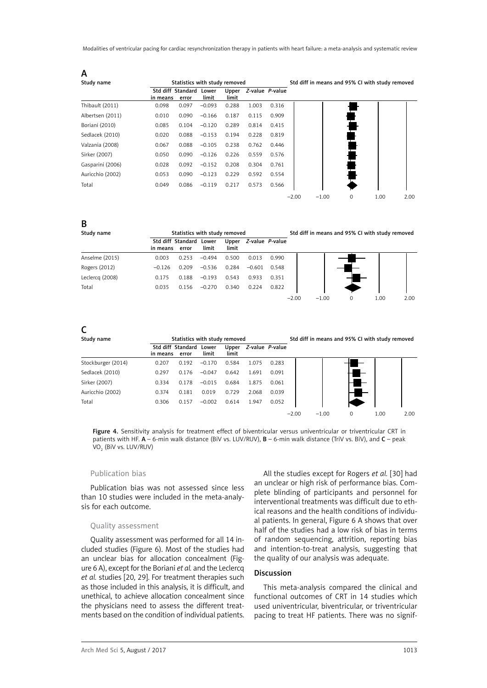Modalities of ventricular pacing for cardiac resynchronization therapy in patients with heart failure: a meta-analysis and systematic review

| A                |                               |       |                               |                |       |                 |         |         |   |                                                 |      |
|------------------|-------------------------------|-------|-------------------------------|----------------|-------|-----------------|---------|---------|---|-------------------------------------------------|------|
| Study name       |                               |       | Statistics with study removed |                |       |                 |         |         |   | Std diff in means and 95% CI with study removed |      |
|                  | Std diff Standard<br>in means | error | Lower<br>limit                | Upper<br>limit |       | Z-value P-value |         |         |   |                                                 |      |
| Thibault (2011)  | 0.098                         | 0.097 | $-0.093$                      | 0.288          | 1.003 | 0.316           |         |         |   |                                                 |      |
| Albertsen (2011) | 0.010                         | 0.090 | $-0.166$                      | 0.187          | 0.115 | 0.909           |         |         |   |                                                 |      |
| Boriani (2010)   | 0.085                         | 0.104 | $-0.120$                      | 0.289          | 0.814 | 0.415           |         |         |   |                                                 |      |
| Sedlacek (2010)  | 0.020                         | 0.088 | $-0.153$                      | 0.194          | 0.228 | 0.819           |         |         |   |                                                 |      |
| Valzania (2008)  | 0.067                         | 0.088 | $-0.105$                      | 0.238          | 0.762 | 0.446           |         |         |   |                                                 |      |
| Sirker (2007)    | 0.050                         | 0.090 | $-0.126$                      | 0.226          | 0.559 | 0.576           |         |         |   |                                                 |      |
| Gasparini (2006) | 0.028                         | 0.092 | $-0.152$                      | 0.208          | 0.304 | 0.761           |         |         |   |                                                 |      |
| Auricchio (2002) | 0.053                         | 0.090 | $-0.123$                      | 0.229          | 0.592 | 0.554           |         |         |   |                                                 |      |
| Total            | 0.049                         | 0.086 | $-0.119$                      | 0.217          | 0.573 | 0.566           |         |         |   |                                                 |      |
|                  |                               |       |                               |                |       |                 | $-2.00$ | $-1.00$ | 0 | 1.00                                            | 2.00 |

| Study name      |          | Statistics with study removed |                |                |          |                 |         | Std diff in means and 95% CI with study removed |      |      |
|-----------------|----------|-------------------------------|----------------|----------------|----------|-----------------|---------|-------------------------------------------------|------|------|
|                 | in means | Std diff Standard<br>error    | Lower<br>limit | Upper<br>limit |          | Z-value P-value |         |                                                 |      |      |
| Anselme (2015)  | 0.003    | 0.253                         | $-0.494$       | 0.500          | 0.013    | 0.990           |         |                                                 |      |      |
| Rogers (2012)   | $-0.126$ | 0.209                         | $-0.536$       | 0.284          | $-0.601$ | 0.548           |         |                                                 |      |      |
| Leclercq (2008) | 0.175    | 0.188                         | $-0.193$       | 0.543          | 0.933    | 0.351           |         |                                                 |      |      |
| Total           | 0.035    | 0.156                         | $-0.270$       | 0.340          | 0.224    | 0.822           |         |                                                 |      |      |
|                 |          |                               |                |                |          |                 | $-2.00$ | $-1.00$                                         | 1.00 | 2.00 |

# C

B

| Study name         |                               | Statistics with study removed |                |                |       |                 |         |         | Std diff in means and 95% CI with study removed |   |      |      |
|--------------------|-------------------------------|-------------------------------|----------------|----------------|-------|-----------------|---------|---------|-------------------------------------------------|---|------|------|
|                    | Std diff Standard<br>in means | error                         | Lower<br>limit | Upper<br>limit |       | Z-value P-value |         |         |                                                 |   |      |      |
| Stockburger (2014) | 0.207                         | 0.192                         | $-0.170$       | 0.584          | 1.075 | 0.283           |         |         |                                                 |   |      |      |
| Sedlacek (2010)    | 0.297                         | 0.176                         | $-0.047$       | 0.642          | 1.691 | 0.091           |         |         |                                                 |   |      |      |
| Sirker (2007)      | 0.334                         | 0.178                         | $-0.015$       | 0.684          | 1.875 | 0.061           |         |         |                                                 |   |      |      |
| Auricchio (2002)   | 0.374                         | 0.181                         | 0.019          | 0.729          | 2.068 | 0.039           |         |         |                                                 |   |      |      |
| Total              | 0.306                         | 0.157                         | $-0.002$       | 0.614          | 1.947 | 0.052           |         |         |                                                 |   |      |      |
|                    |                               |                               |                |                |       |                 | $-2.00$ | $-1.00$ |                                                 | 0 | 1.00 | 2.00 |

Figure 4. Sensitivity analysis for treatment effect of biventricular versus univentricular or triventricular CRT in patients with HF. A – 6-min walk distance (BiV vs. LUV/RUV), B – 6-min walk distance (TriV vs. BiV), and C – peak VO<sub>2</sub> (BiV vs. LUV/RUV)

## Publication bias

Publication bias was not assessed since less than 10 studies were included in the meta-analysis for each outcome.

## Quality assessment

Quality assessment was performed for all 14 included studies (Figure 6). Most of the studies had an unclear bias for allocation concealment (Figure 6 A), except for the Boriani *et al.* and the Leclercq *et al.* studies [20, 29]. For treatment therapies such as those included in this analysis, it is difficult, and unethical, to achieve allocation concealment since the physicians need to assess the different treatments based on the condition of individual patients.

All the studies except for Rogers *et al.* [30] had an unclear or high risk of performance bias. Complete blinding of participants and personnel for interventional treatments was difficult due to ethical reasons and the health conditions of individual patients. In general, Figure 6 A shows that over half of the studies had a low risk of bias in terms of random sequencing, attrition, reporting bias and intention-to-treat analysis, suggesting that the quality of our analysis was adequate.

## Discussion

This meta-analysis compared the clinical and functional outcomes of CRT in 14 studies which used univentricular, biventricular, or triventricular pacing to treat HF patients. There was no signif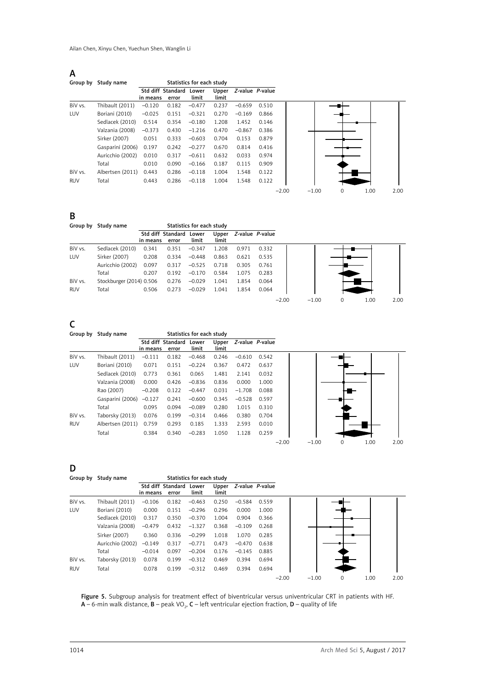$A$ 

| Group by   | Study name       |                               |       | Statistics for each study |                |                 |       |         |         |  |
|------------|------------------|-------------------------------|-------|---------------------------|----------------|-----------------|-------|---------|---------|--|
|            |                  | Std diff Standard<br>in means | error | Lower<br>limit            | Upper<br>limit | Z-value P-value |       |         |         |  |
| BiV vs.    | Thibault (2011)  | $-0.120$                      | 0.182 | $-0.477$                  | 0.237          | $-0.659$        | 0.510 |         |         |  |
| LUV        | Boriani (2010)   | $-0.025$                      | 0.151 | $-0.321$                  | 0.270          | $-0.169$        | 0.866 |         |         |  |
|            | Sedlacek (2010)  | 0.514                         | 0.354 | $-0.180$                  | 1.208          | 1.452           | 0.146 |         |         |  |
|            | Valzania (2008)  | $-0.373$                      | 0.430 | $-1.216$                  | 0.470          | $-0.867$        | 0.386 |         |         |  |
|            | Sirker (2007)    | 0.051                         | 0.333 | $-0.603$                  | 0.704          | 0.153           | 0.879 |         |         |  |
|            | Gasparini (2006) | 0.197                         | 0.242 | $-0.277$                  | 0.670          | 0.814           | 0.416 |         |         |  |
|            | Auricchio (2002) | 0.010                         | 0.317 | $-0.611$                  | 0.632          | 0.033           | 0.974 |         |         |  |
|            | Total            | 0.010                         | 0.090 | $-0.166$                  | 0.187          | 0.115           | 0.909 |         |         |  |
| BiV vs.    | Albertsen (2011) | 0.443                         | 0.286 | $-0.118$                  | 1.004          | 1.548           | 0.122 |         |         |  |
| <b>RUV</b> | Total            | 0.443                         | 0.286 | $-0.118$                  | 1.004          | 1.548           | 0.122 |         |         |  |
|            |                  |                               |       |                           |                |                 |       | $-2.00$ | $-1.00$ |  |



B

| Group by   | Study name               |          |                         | Statistics for each study |                |                 |       |         |         |   |      |      |
|------------|--------------------------|----------|-------------------------|---------------------------|----------------|-----------------|-------|---------|---------|---|------|------|
|            |                          |          | Std diff Standard Lower |                           | Upper<br>limit | Z-value P-value |       |         |         |   |      |      |
|            |                          | in means | error                   | limit                     |                |                 |       |         |         |   |      |      |
| BiV vs.    | Sedlacek (2010)          | 0.341    | 0.351                   | $-0.347$                  | 1.208          | 0.971           | 0.332 |         |         |   |      |      |
| LUV        | Sirker (2007)            | 0.208    | 0.334                   | $-0.448$                  | 0.863          | 0.621           | 0.535 |         |         |   |      |      |
|            | Auricchio (2002)         | 0.097    | 0.317                   | $-0.525$                  | 0.718          | 0.305           | 0.761 |         |         |   |      |      |
|            | Total                    | 0.207    | 0.192                   | $-0.170$                  | 0.584          | 1.075           | 0.283 |         |         |   |      |      |
| BiV vs.    | Stockburger (2014) 0.506 |          | 0.276                   | $-0.029$                  | 1.041          | 1.854           | 0.064 |         |         |   |      |      |
| <b>RUV</b> | Total                    | 0.506    | 0.273                   | $-0.029$                  | 1.041          | 1.854           | 0.064 |         |         |   |      |      |
|            |                          |          |                         |                           |                |                 |       | $-2.00$ | $-1.00$ | 0 | 1.00 | 2.00 |

| Group by   | Study name       |          |                            | Statistics for each study |                |          |                 |         |         |  |      |      |
|------------|------------------|----------|----------------------------|---------------------------|----------------|----------|-----------------|---------|---------|--|------|------|
|            |                  | in means | Std diff Standard<br>error | Lower<br>limit            | Upper<br>limit |          | Z-value P-value |         |         |  |      |      |
| BiV vs.    | Thibault (2011)  | $-0.111$ | 0.182                      | $-0.468$                  | 0.246          | $-0.610$ | 0.542           |         |         |  |      |      |
| LUV        | Boriani (2010)   | 0.071    | 0.151                      | $-0.224$                  | 0.367          | 0.472    | 0.637           |         |         |  |      |      |
|            | Sedlacek (2010)  | 0.773    | 0.361                      | 0.065                     | 1.481          | 2.141    | 0.032           |         |         |  |      |      |
|            | Valzania (2008)  | 0.000    | 0.426                      | $-0.836$                  | 0.836          | 0.000    | 1.000           |         |         |  |      |      |
|            | Rao (2007)       | $-0.208$ | 0.122                      | $-0.447$                  | 0.031          | $-1.708$ | 0.088           |         |         |  |      |      |
|            | Gasparini (2006) | $-0.127$ | 0.241                      | $-0.600$                  | 0.345          | $-0.528$ | 0.597           |         |         |  |      |      |
|            | Total            | 0.095    | 0.094                      | $-0.089$                  | 0.280          | 1.015    | 0.310           |         |         |  |      |      |
| BiV vs.    | Taborsky (2013)  | 0.076    | 0.199                      | $-0.314$                  | 0.466          | 0.380    | 0.704           |         |         |  |      |      |
| <b>RUV</b> | Albertsen (2011) | 0.759    | 0.293                      | 0.185                     | 1.333          | 2.593    | 0.010           |         |         |  |      |      |
|            | Total            | 0.384    | 0.340                      | $-0.283$                  | 1.050          | 1.128    | 0.259           |         |         |  |      |      |
|            |                  |          |                            |                           |                |          |                 | $-2.00$ | $-1.00$ |  | 1.00 | 2.00 |

D

|            | Group by Study name |                               |       | Statistics for each study |                |                 |       |         |         |   |      |  |
|------------|---------------------|-------------------------------|-------|---------------------------|----------------|-----------------|-------|---------|---------|---|------|--|
|            |                     | Std diff Standard<br>in means | error | Lower<br>limit            | Upper<br>limit | Z-value P-value |       |         |         |   |      |  |
| BiV vs.    | Thibault (2011)     | $-0.106$                      | 0.182 | $-0.463$                  | 0.250          | $-0.584$        | 0.559 |         |         |   |      |  |
| <b>LUV</b> | Boriani (2010)      | 0.000                         | 0.151 | $-0.296$                  | 0.296          | 0.000           | 1.000 |         |         |   |      |  |
|            | Sedlacek (2010)     | 0.317                         | 0.350 | $-0.370$                  | 1.004          | 0.904           | 0.366 |         |         |   |      |  |
|            | Valzania (2008)     | $-0.479$                      | 0.432 | $-1.327$                  | 0.368          | $-0.109$        | 0.268 |         |         |   |      |  |
|            | Sirker (2007)       | 0.360                         | 0.336 | $-0.299$                  | 1.018          | 1.070           | 0.285 |         |         |   |      |  |
|            | Auricchio (2002)    | $-0.149$                      | 0.317 | $-0.771$                  | 0.473          | $-0.470$        | 0.638 |         |         |   |      |  |
|            | Total               | $-0.014$                      | 0.097 | $-0.204$                  | 0.176          | $-0.145$        | 0.885 |         |         |   |      |  |
| BiV vs.    | Taborsky (2013)     | 0.078                         | 0.199 | $-0.312$                  | 0.469          | 0.394           | 0.694 |         |         |   |      |  |
| <b>RUV</b> | Total               | 0.078                         | 0.199 | $-0.312$                  | 0.469          | 0.394           | 0.694 |         |         |   |      |  |
|            |                     |                               |       |                           |                |                 |       | $-2.00$ | $-1.00$ | 0 | 1.00 |  |

Figure 5. Subgroup analysis for treatment effect of biventricular versus univentricular CRT in patients with HF. **A** – 6-min walk distance, **B** – peak VO<sub>2</sub>, **C** – left ventricular ejection fraction, **D** – quality of life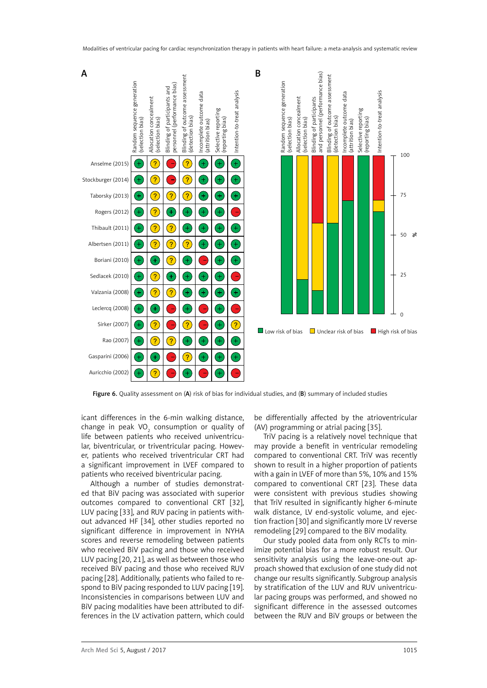

Figure 6. Quality assessment on (A) risk of bias for individual studies, and (B) summary of included studies

icant differences in the 6-min walking distance, change in peak VO<sub>2</sub> consumption or quality of life between patients who received univentricular, biventricular, or triventricular pacing. However, patients who received triventricular CRT had a significant improvement in LVEF compared to patients who received biventricular pacing.

Although a number of studies demonstrated that BiV pacing was associated with superior outcomes compared to conventional CRT [32], LUV pacing [33], and RUV pacing in patients without advanced HF [34], other studies reported no significant difference in improvement in NYHA scores and reverse remodeling between patients who received BiV pacing and those who received LUV pacing [20, 21], as well as between those who received BiV pacing and those who received RUV pacing [28]. Additionally, patients who failed to respond to BiV pacing responded to LUV pacing [19]. Inconsistencies in comparisons between LUV and BiV pacing modalities have been attributed to differences in the LV activation pattern, which could

be differentially affected by the atrioventricular (AV) programming or atrial pacing [35].

TriV pacing is a relatively novel technique that may provide a benefit in ventricular remodeling compared to conventional CRT. TriV was recently shown to result in a higher proportion of patients with a gain in LVEF of more than 5%, 10% and 15% compared to conventional CRT [23]. These data were consistent with previous studies showing that TriV resulted in significantly higher 6-minute walk distance, LV end-systolic volume, and ejection fraction [30] and significantly more LV reverse remodeling [29] compared to the BiV modality.

Our study pooled data from only RCTs to minimize potential bias for a more robust result. Our sensitivity analysis using the leave-one-out approach showed that exclusion of one study did not change our results significantly. Subgroup analysis by stratification of the LUV and RUV univentricular pacing groups was performed, and showed no significant difference in the assessed outcomes between the RUV and BiV groups or between the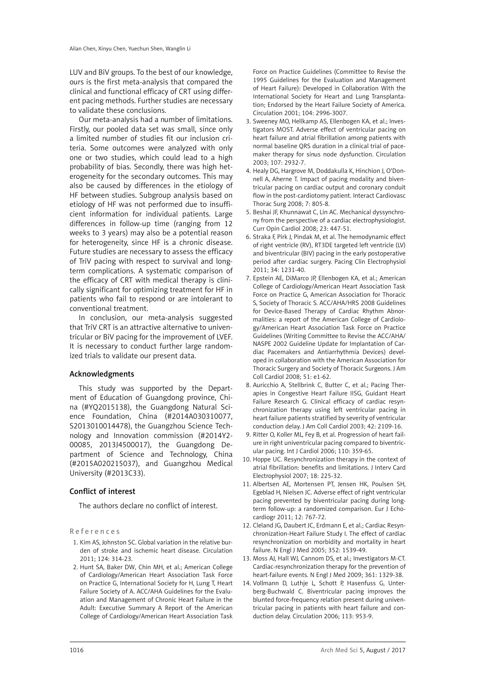LUV and BiV groups. To the best of our knowledge, ours is the first meta-analysis that compared the clinical and functional efficacy of CRT using different pacing methods. Further studies are necessary to validate these conclusions.

Our meta-analysis had a number of limitations. Firstly, our pooled data set was small, since only a limited number of studies fit our inclusion criteria. Some outcomes were analyzed with only one or two studies, which could lead to a high probability of bias. Secondly, there was high heterogeneity for the secondary outcomes. This may also be caused by differences in the etiology of HF between studies. Subgroup analysis based on etiology of HF was not performed due to insufficient information for individual patients. Large differences in follow-up time (ranging from 12 weeks to 3 years) may also be a potential reason for heterogeneity, since HF is a chronic disease. Future studies are necessary to assess the efficacy of TriV pacing with respect to survival and longterm complications. A systematic comparison of the efficacy of CRT with medical therapy is clinically significant for optimizing treatment for HF in patients who fail to respond or are intolerant to conventional treatment.

In conclusion, our meta-analysis suggested that TriV CRT is an attractive alternative to univentricular or BiV pacing for the improvement of LVEF. It is necessary to conduct further large randomized trials to validate our present data.

# Acknowledgments

This study was supported by the Department of Education of Guangdong province, China (#YQ2015138), the Guangdong Natural Science Foundation, China (#2014A030310077, S2013010014478), the Guangzhou Science Technology and Innovation commission (#2014Y2- 00085, 2013J4500017), the Guangdong Department of Science and Technology, China (#2015A020215037), and Guangzhou Medical University (#2013C33).

# Conflict of interest

The authors declare no conflict of interest.

References

- 1. Kim AS, Johnston SC. Global variation in the relative burden of stroke and ischemic heart disease. Circulation 2011; 124: 314-23.
- 2. Hunt SA, Baker DW, Chin MH, et al.; American College of Cardiology/American Heart Association Task Force on Practice G, International Society for H, Lung T, Heart Failure Society of A. ACC/AHA Guidelines for the Evaluation and Management of Chronic Heart Failure in the Adult: Executive Summary A Report of the American College of Cardiology/American Heart Association Task

Force on Practice Guidelines (Committee to Revise the 1995 Guidelines for the Evaluation and Management of Heart Failure): Developed in Collaboration With the International Society for Heart and Lung Transplantation; Endorsed by the Heart Failure Society of America. Circulation 2001; 104: 2996-3007.

- 3. Sweeney MO, Hellkamp AS, Ellenbogen KA, et al.; Investigators MOST. Adverse effect of ventricular pacing on heart failure and atrial fibrillation among patients with normal baseline QRS duration in a clinical trial of pacemaker therapy for sinus node dysfunction. Circulation 2003; 107: 2932-7.
- 4. Healy DG, Hargrove M, Doddakulla K, Hinchion J, O'Donnell A, Aherne T. Impact of pacing modality and biventricular pacing on cardiac output and coronary conduit flow in the post-cardiotomy patient. Interact Cardiovasc Thorac Surg 2008; 7: 805-8.
- 5. Beshai JF, Khunnawat C, Lin AC. Mechanical dyssynchrony from the perspective of a cardiac electrophysiologist. Curr Opin Cardiol 2008; 23: 447-51.
- 6. Straka F, Pirk J, Pindak M, et al. The hemodynamic effect of right ventricle (RV), RT3DE targeted left ventricle (LV) and biventricular (BIV) pacing in the early postoperative period after cardiac surgery. Pacing Clin Electrophysiol 2011; 34: 1231-40.
- 7. Epstein AE, DiMarco JP, Ellenbogen KA, et al.; American College of Cardiology/American Heart Association Task Force on Practice G, American Association for Thoracic S, Society of Thoracic S. ACC/AHA/HRS 2008 Guidelines for Device-Based Therapy of Cardiac Rhythm Abnormalities: a report of the American College of Cardiology/American Heart Association Task Force on Practice Guidelines (Writing Committee to Revise the ACC/AHA/ NASPE 2002 Guideline Update for Implantation of Cardiac Pacemakers and Antiarrhythmia Devices) developed in collaboration with the American Association for Thoracic Surgery and Society of Thoracic Surgeons. J Am Coll Cardiol 2008; 51: e1-62.
- 8. Auricchio A, Stellbrink C, Butter C, et al.; Pacing Therapies in Congestive Heart Failure IISG, Guidant Heart Failure Research G. Clinical efficacy of cardiac resynchronization therapy using left ventricular pacing in heart failure patients stratified by severity of ventricular conduction delay. J Am Coll Cardiol 2003; 42: 2109-16.
- 9. Ritter O, Koller ML, Fey B, et al. Progression of heart failure in right univentricular pacing compared to biventricular pacing. Int J Cardiol 2006; 110: 359-65.
- 10. Hoppe UC. Resynchronization therapy in the context of atrial fibrillation: benefits and limitations. J Interv Card Electrophysiol 2007; 18: 225-32.
- 11. Albertsen AE, Mortensen PT, Jensen HK, Poulsen SH, Egeblad H, Nielsen JC. Adverse effect of right ventricular pacing prevented by biventricular pacing during longterm follow-up: a randomized comparison. Eur J Echocardiogr 2011; 12: 767-72.
- 12. Cleland JG, Daubert JC, Erdmann E, et al.; Cardiac Resynchronization-Heart Failure Study I. The effect of cardiac resynchronization on morbidity and mortality in heart failure. N Engl J Med 2005; 352: 1539-49.
- 13. Moss AJ, Hall WJ, Cannom DS, et al.; Investigators M-CT. Cardiac-resynchronization therapy for the prevention of heart-failure events. N Engl J Med 2009; 361: 1329-38.
- 14. Vollmann D, Luthje L, Schott P, Hasenfuss G, Unterberg-Buchwald C. Biventricular pacing improves the blunted force-frequency relation present during univentricular pacing in patients with heart failure and conduction delay. Circulation 2006; 113: 953-9.